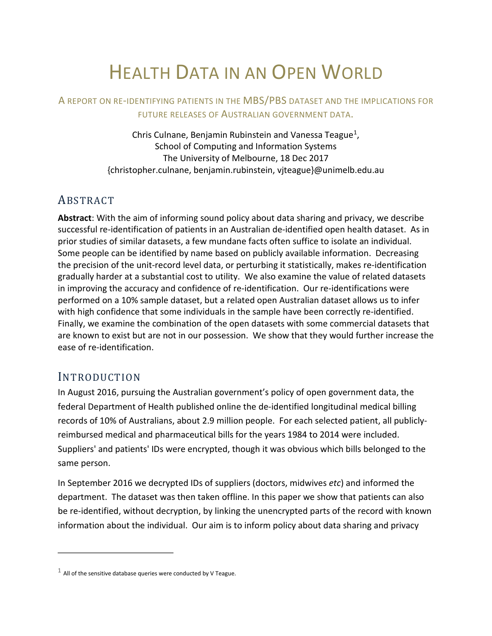# HEALTH DATA IN AN OPEN WORLD

## A REPORT ON RE-IDENTIFYING PATIENTS IN THE MBS/PBS DATASET AND THE IMPLICATIONS FOR FUTURE RELEASES OF AUSTRALIAN GOVERNMENT DATA.

Chris Culnane, Benjamin Rubinstein and Vanessa Teague<sup>[1](#page-0-0)</sup>, School of Computing and Information Systems The University of Melbourne, 18 Dec 2017 {christopher.culnane, benjamin.rubinstein, vjteague}@unimelb.edu.au

# ABSTRACT

**Abstract**: With the aim of informing sound policy about data sharing and privacy, we describe successful re-identification of patients in an Australian de-identified open health dataset. As in prior studies of similar datasets, a few mundane facts often suffice to isolate an individual. Some people can be identified by name based on publicly available information. Decreasing the precision of the unit-record level data, or perturbing it statistically, makes re-identification gradually harder at a substantial cost to utility. We also examine the value of related datasets in improving the accuracy and confidence of re-identification. Our re-identifications were performed on a 10% sample dataset, but a related open Australian dataset allows us to infer with high confidence that some individuals in the sample have been correctly re-identified. Finally, we examine the combination of the open datasets with some commercial datasets that are known to exist but are not in our possession. We show that they would further increase the ease of re-identification.

# INTRODUCTION

 $\overline{a}$ 

In August 2016, pursuing the Australian government's policy of open government data, the federal Department of Health published online the de-identified longitudinal medical billing records of 10% of Australians, about 2.9 million people. For each selected patient, all publiclyreimbursed medical and pharmaceutical bills for the years 1984 to 2014 were included. Suppliers' and patients' IDs were encrypted, though it was obvious which bills belonged to the same person.

In September 2016 we decrypted IDs of suppliers (doctors, midwives *etc*) and informed the department. The dataset was then taken offline. In this paper we show that patients can also be re-identified, without decryption, by linking the unencrypted parts of the record with known information about the individual. Our aim is to inform policy about data sharing and privacy

<span id="page-0-0"></span> $1$  All of the sensitive database queries were conducted by V Teague.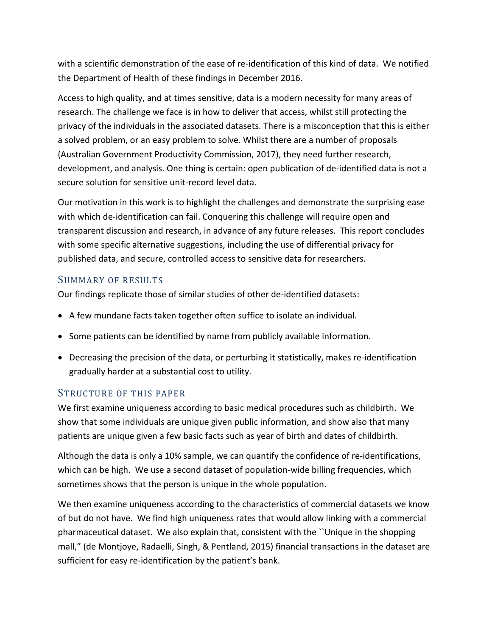with a scientific demonstration of the ease of re-identification of this kind of data. We notified the Department of Health of these findings in December 2016.

Access to high quality, and at times sensitive, data is a modern necessity for many areas of research. The challenge we face is in how to deliver that access, whilst still protecting the privacy of the individuals in the associated datasets. There is a misconception that this is either a solved problem, or an easy problem to solve. Whilst there are a number of proposals (Australian Government Productivity Commission, 2017), they need further research, development, and analysis. One thing is certain: open publication of de-identified data is not a secure solution for sensitive unit-record level data.

Our motivation in this work is to highlight the challenges and demonstrate the surprising ease with which de-identification can fail. Conquering this challenge will require open and transparent discussion and research, in advance of any future releases. This report concludes with some specific alternative suggestions, including the use of differential privacy for published data, and secure, controlled access to sensitive data for researchers.

### SUMMARY OF RESULTS

Our findings replicate those of similar studies of other de-identified datasets:

- A few mundane facts taken together often suffice to isolate an individual.
- Some patients can be identified by name from publicly available information.
- Decreasing the precision of the data, or perturbing it statistically, makes re-identification gradually harder at a substantial cost to utility.

### STRUCTURE OF THIS PAPER

We first examine uniqueness according to basic medical procedures such as childbirth. We show that some individuals are unique given public information, and show also that many patients are unique given a few basic facts such as year of birth and dates of childbirth.

Although the data is only a 10% sample, we can quantify the confidence of re-identifications, which can be high. We use a second dataset of population-wide billing frequencies, which sometimes shows that the person is unique in the whole population.

We then examine uniqueness according to the characteristics of commercial datasets we know of but do not have. We find high uniqueness rates that would allow linking with a commercial pharmaceutical dataset. We also explain that, consistent with the ``Unique in the shopping mall," (de Montjoye, Radaelli, Singh, & Pentland, 2015) financial transactions in the dataset are sufficient for easy re-identification by the patient's bank.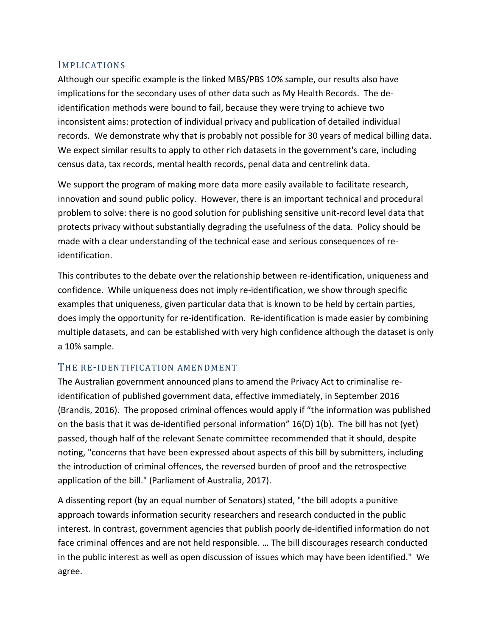#### IMPLICATIONS

Although our specific example is the linked MBS/PBS 10% sample, our results also have implications for the secondary uses of other data such as My Health Records. The deidentification methods were bound to fail, because they were trying to achieve two inconsistent aims: protection of individual privacy and publication of detailed individual records. We demonstrate why that is probably not possible for 30 years of medical billing data. We expect similar results to apply to other rich datasets in the government's care, including census data, tax records, mental health records, penal data and centrelink data.

We support the program of making more data more easily available to facilitate research, innovation and sound public policy. However, there is an important technical and procedural problem to solve: there is no good solution for publishing sensitive unit-record level data that protects privacy without substantially degrading the usefulness of the data. Policy should be made with a clear understanding of the technical ease and serious consequences of reidentification.

This contributes to the debate over the relationship between re-identification, uniqueness and confidence. While uniqueness does not imply re-identification, we show through specific examples that uniqueness, given particular data that is known to be held by certain parties, does imply the opportunity for re-identification. Re-identification is made easier by combining multiple datasets, and can be established with very high confidence although the dataset is only a 10% sample.

#### THE RE-IDENTIFICATION AMENDMENT

The Australian government announced plans to amend the Privacy Act to criminalise reidentification of published government data, effective immediately, in September 2016 (Brandis, 2016). The proposed criminal offences would apply if "the information was published on the basis that it was de-identified personal information" 16(D) 1(b). The bill has not (yet) passed, though half of the relevant Senate committee recommended that it should, despite noting, "concerns that have been expressed about aspects of this bill by submitters, including the introduction of criminal offences, the reversed burden of proof and the retrospective application of the bill." (Parliament of Australia, 2017).

A dissenting report (by an equal number of Senators) stated, "the bill adopts a punitive approach towards information security researchers and research conducted in the public interest. In contrast, government agencies that publish poorly de-identified information do not face criminal offences and are not held responsible. … The bill discourages research conducted in the public interest as well as open discussion of issues which may have been identified." We agree.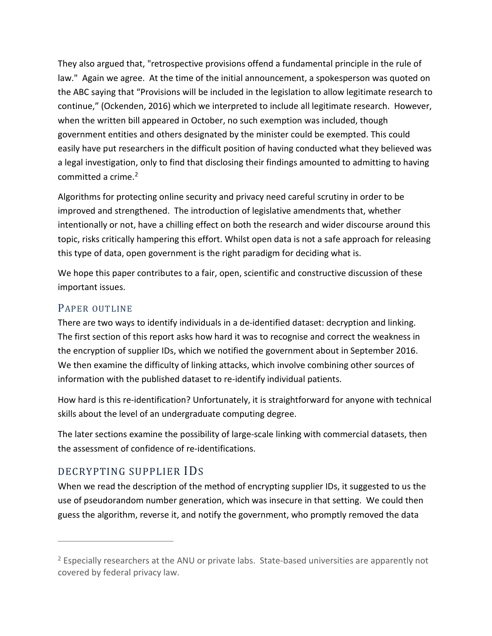They also argued that, "retrospective provisions offend a fundamental principle in the rule of law." Again we agree. At the time of the initial announcement, a spokesperson was quoted on the ABC saying that "Provisions will be included in the legislation to allow legitimate research to continue," (Ockenden, 2016) which we interpreted to include all legitimate research. However, when the written bill appeared in October, no such exemption was included, though government entities and others designated by the minister could be exempted. This could easily have put researchers in the difficult position of having conducted what they believed was a legal investigation, only to find that disclosing their findings amounted to admitting to having committed a crime.<sup>[2](#page-3-0)</sup>

Algorithms for protecting online security and privacy need careful scrutiny in order to be improved and strengthened. The introduction of legislative amendments that, whether intentionally or not, have a chilling effect on both the research and wider discourse around this topic, risks critically hampering this effort. Whilst open data is not a safe approach for releasing this type of data, open government is the right paradigm for deciding what is.

We hope this paper contributes to a fair, open, scientific and constructive discussion of these important issues.

### PAPER OUTLINE

 $\overline{a}$ 

There are two ways to identify individuals in a de-identified dataset: decryption and linking. The first section of this report asks how hard it was to recognise and correct the weakness in the encryption of supplier IDs, which we notified the government about in September 2016. We then examine the difficulty of linking attacks, which involve combining other sources of information with the published dataset to re-identify individual patients.

How hard is this re-identification? Unfortunately, it is straightforward for anyone with technical skills about the level of an undergraduate computing degree.

The later sections examine the possibility of large-scale linking with commercial datasets, then the assessment of confidence of re-identifications.

# DECRYPTING SUPPLIER IDS

When we read the description of the method of encrypting supplier IDs, it suggested to us the use of pseudorandom number generation, which was insecure in that setting. We could then guess the algorithm, reverse it, and notify the government, who promptly removed the data

<span id="page-3-0"></span><sup>&</sup>lt;sup>2</sup> Especially researchers at the ANU or private labs. State-based universities are apparently not covered by federal privacy law.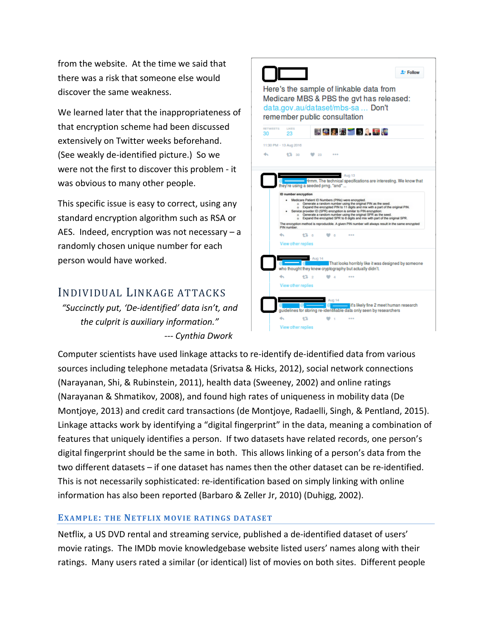from the website. At the time we said that there was a risk that someone else would discover the same weakness.

We learned later that the inappropriateness of that encryption scheme had been discussed extensively on Twitter weeks beforehand. (See weakly de-identified picture.) So we were not the first to discover this problem - it was obvious to many other people.

This specific issue is easy to correct, using any standard encryption algorithm such as RSA or AES. Indeed, encryption was not necessary – a randomly chosen unique number for each person would have worked.

# INDIVIDUAL LINKAGE ATTACKS

*"Succinctly put, 'De-identified' data isn't, and the culprit is auxiliary information." --- Cynthia Dwork*



Computer scientists have used linkage attacks to re-identify de-identified data from various sources including telephone metadata (Srivatsa & Hicks, 2012), social network connections (Narayanan, Shi, & Rubinstein, 2011), health data (Sweeney, 2002) and online ratings (Narayanan & Shmatikov, 2008), and found high rates of uniqueness in mobility data (De Montjoye, 2013) and credit card transactions (de Montjoye, Radaelli, Singh, & Pentland, 2015). Linkage attacks work by identifying a "digital fingerprint" in the data, meaning a combination of features that uniquely identifies a person. If two datasets have related records, one person's digital fingerprint should be the same in both. This allows linking of a person's data from the two different datasets – if one dataset has names then the other dataset can be re-identified. This is not necessarily sophisticated: re-identification based on simply linking with online information has also been reported (Barbaro & Zeller Jr, 2010) (Duhigg, 2002).

#### **EXAMPLE: THE NETFLIX MOVIE RATINGS DATASET**

Netflix, a US DVD rental and streaming service, published a de-identified dataset of users' movie ratings. The IMDb movie knowledgebase website listed users' names along with their ratings. Many users rated a similar (or identical) list of movies on both sites. Different people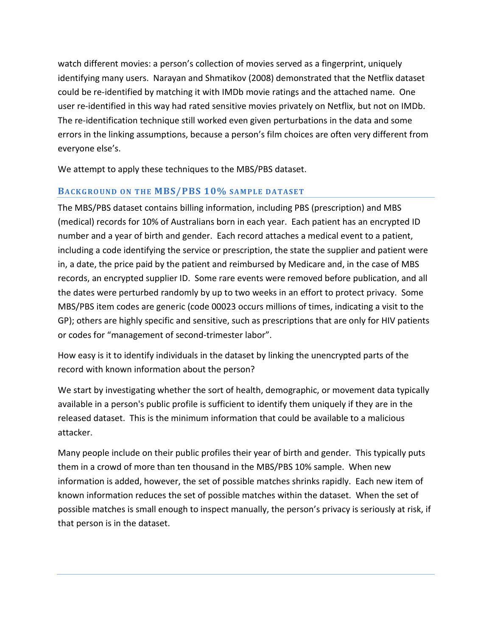watch different movies: a person's collection of movies served as a fingerprint, uniquely identifying many users. Narayan and Shmatikov (2008) demonstrated that the Netflix dataset could be re-identified by matching it with IMDb movie ratings and the attached name. One user re-identified in this way had rated sensitive movies privately on Netflix, but not on IMDb. The re-identification technique still worked even given perturbations in the data and some errors in the linking assumptions, because a person's film choices are often very different from everyone else's.

We attempt to apply these techniques to the MBS/PBS dataset.

#### **BACKGROUND ON THE MBS/PBS 10% SAMPLE DATASET**

The MBS/PBS dataset contains billing information, including PBS (prescription) and MBS (medical) records for 10% of Australians born in each year. Each patient has an encrypted ID number and a year of birth and gender. Each record attaches a medical event to a patient, including a code identifying the service or prescription, the state the supplier and patient were in, a date, the price paid by the patient and reimbursed by Medicare and, in the case of MBS records, an encrypted supplier ID. Some rare events were removed before publication, and all the dates were perturbed randomly by up to two weeks in an effort to protect privacy. Some MBS/PBS item codes are generic (code 00023 occurs millions of times, indicating a visit to the GP); others are highly specific and sensitive, such as prescriptions that are only for HIV patients or codes for "management of second-trimester labor".

How easy is it to identify individuals in the dataset by linking the unencrypted parts of the record with known information about the person?

We start by investigating whether the sort of health, demographic, or movement data typically available in a person's public profile is sufficient to identify them uniquely if they are in the released dataset. This is the minimum information that could be available to a malicious attacker.

Many people include on their public profiles their year of birth and gender. This typically puts them in a crowd of more than ten thousand in the MBS/PBS 10% sample. When new information is added, however, the set of possible matches shrinks rapidly. Each new item of known information reduces the set of possible matches within the dataset. When the set of possible matches is small enough to inspect manually, the person's privacy is seriously at risk, if that person is in the dataset.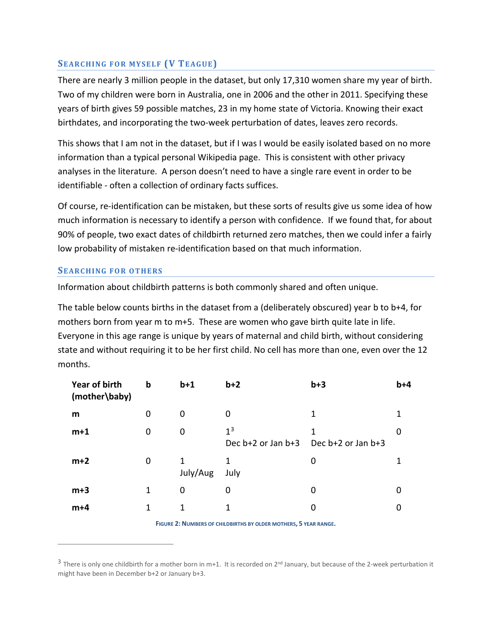#### **SEARCHING FOR MYSELF (V TEAGUE)**

There are nearly 3 million people in the dataset, but only 17,310 women share my year of birth. Two of my children were born in Australia, one in 2006 and the other in 2011. Specifying these years of birth gives 59 possible matches, 23 in my home state of Victoria. Knowing their exact birthdates, and incorporating the two-week perturbation of dates, leaves zero records.

This shows that I am not in the dataset, but if I was I would be easily isolated based on no more information than a typical personal Wikipedia page. This is consistent with other privacy analyses in the literature. A person doesn't need to have a single rare event in order to be identifiable - often a collection of ordinary facts suffices.

Of course, re-identification can be mistaken, but these sorts of results give us some idea of how much information is necessary to identify a person with confidence. If we found that, for about 90% of people, two exact dates of childbirth returned zero matches, then we could infer a fairly low probability of mistaken re-identification based on that much information.

#### **SEARCHING FOR OTHERS**

 $\overline{a}$ 

Information about childbirth patterns is both commonly shared and often unique.

The table below counts births in the dataset from a (deliberately obscured) year b to b+4, for mothers born from year m to m+5. These are women who gave birth quite late in life. Everyone in this age range is unique by years of maternal and child birth, without considering state and without requiring it to be her first child. No cell has more than one, even over the 12 months.

| Year of birth<br>(mother\baby) | $\mathbf b$ | $b+1$         | $b+2$                                    | $b+3$                   | $b+4$ |
|--------------------------------|-------------|---------------|------------------------------------------|-------------------------|-------|
| m                              | $\mathbf 0$ | 0             | 0                                        | 1                       |       |
| $m+1$                          | $\mathbf 0$ | 0             | 1 <sup>3</sup><br>Dec $b+2$ or Jan $b+3$ | 1<br>Dec b+2 or Jan b+3 | O     |
| $m+2$                          | $\mathbf 0$ | 1<br>July/Aug | 1<br>July                                | 0                       |       |
| $m+3$                          | 1           | 0             | 0                                        | 0                       | 0     |
| $m+4$                          | 1           | 1             | 1                                        | 0                       |       |

**FIGURE 2: NUMBERS OF CHILDBIRTHS BY OLDER MOTHERS, 5 YEAR RANGE.**

<span id="page-6-0"></span> $3$  There is only one childbirth for a mother born in m+1. It is recorded on  $2^{nd}$  January, but because of the 2-week perturbation it might have been in December b+2 or January b+3.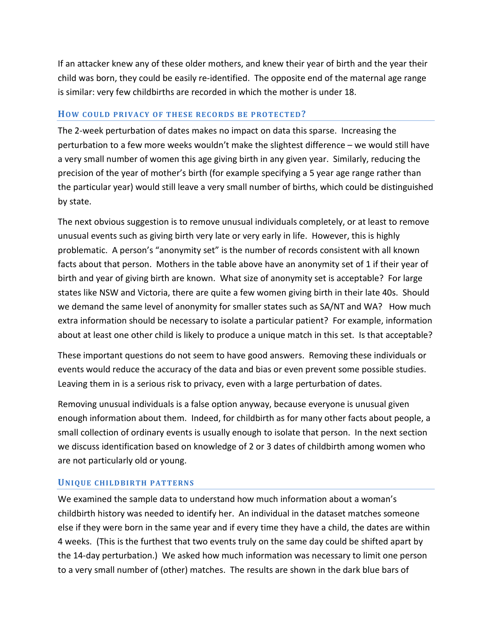If an attacker knew any of these older mothers, and knew their year of birth and the year their child was born, they could be easily re-identified. The opposite end of the maternal age range is similar: very few childbirths are recorded in which the mother is under 18.

#### **HOW COULD PRIVACY OF THESE RECORDS BE PROTECTED?**

The 2-week perturbation of dates makes no impact on data this sparse. Increasing the perturbation to a few more weeks wouldn't make the slightest difference – we would still have a very small number of women this age giving birth in any given year. Similarly, reducing the precision of the year of mother's birth (for example specifying a 5 year age range rather than the particular year) would still leave a very small number of births, which could be distinguished by state.

The next obvious suggestion is to remove unusual individuals completely, or at least to remove unusual events such as giving birth very late or very early in life. However, this is highly problematic. A person's "anonymity set" is the number of records consistent with all known facts about that person. Mothers in the table above have an anonymity set of 1 if their year of birth and year of giving birth are known. What size of anonymity set is acceptable? For large states like NSW and Victoria, there are quite a few women giving birth in their late 40s. Should we demand the same level of anonymity for smaller states such as SA/NT and WA? How much extra information should be necessary to isolate a particular patient? For example, information about at least one other child is likely to produce a unique match in this set. Is that acceptable?

These important questions do not seem to have good answers. Removing these individuals or events would reduce the accuracy of the data and bias or even prevent some possible studies. Leaving them in is a serious risk to privacy, even with a large perturbation of dates.

Removing unusual individuals is a false option anyway, because everyone is unusual given enough information about them. Indeed, for childbirth as for many other facts about people, a small collection of ordinary events is usually enough to isolate that person. In the next section we discuss identification based on knowledge of 2 or 3 dates of childbirth among women who are not particularly old or young.

#### **UNIQUE CHILDBIRTH PATTERNS**

We examined the sample data to understand how much information about a woman's childbirth history was needed to identify her. An individual in the dataset matches someone else if they were born in the same year and if every time they have a child, the dates are within 4 weeks. (This is the furthest that two events truly on the same day could be shifted apart by the 14-day perturbation.) We asked how much information was necessary to limit one person to a very small number of (other) matches. The results are shown in the dark blue bars of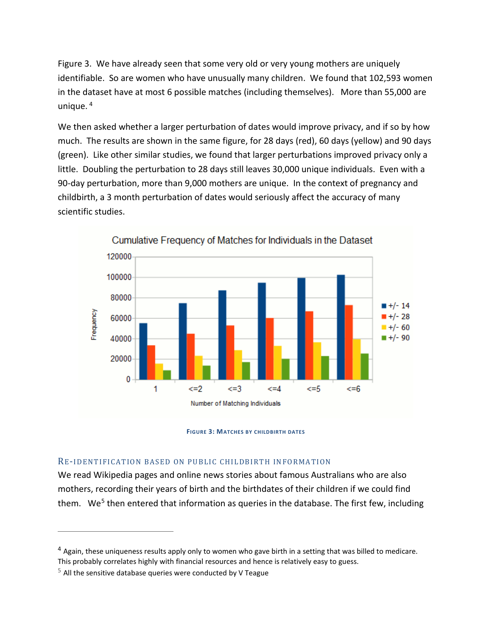Figure 3. We have already seen that some very old or very young mothers are uniquely identifiable. So are women who have unusually many children. We found that 102,593 women in the dataset have at most 6 possible matches (including themselves). More than 55,000 are unique. [4](#page-8-0)

We then asked whether a larger perturbation of dates would improve privacy, and if so by how much. The results are shown in the same figure, for 28 days (red), 60 days (yellow) and 90 days (green). Like other similar studies, we found that larger perturbations improved privacy only a little. Doubling the perturbation to 28 days still leaves 30,000 unique individuals. Even with a 90-day perturbation, more than 9,000 mothers are unique. In the context of pregnancy and childbirth, a 3 month perturbation of dates would seriously affect the accuracy of many scientific studies.





#### RE-IDENTIFICATION BASED ON PUBLIC CHILDBIRTH INFORMATION

We read Wikipedia pages and online news stories about famous Australians who are also mothers, recording their years of birth and the birthdates of their children if we could find them. We<sup>[5](#page-8-1)</sup> then entered that information as queries in the database. The first few, including

 $\overline{a}$ 

<span id="page-8-0"></span><sup>&</sup>lt;sup>4</sup> Again, these uniqueness results apply only to women who gave birth in a setting that was billed to medicare. This probably correlates highly with financial resources and hence is relatively easy to guess.

<span id="page-8-1"></span> $5$  All the sensitive database queries were conducted by V Teague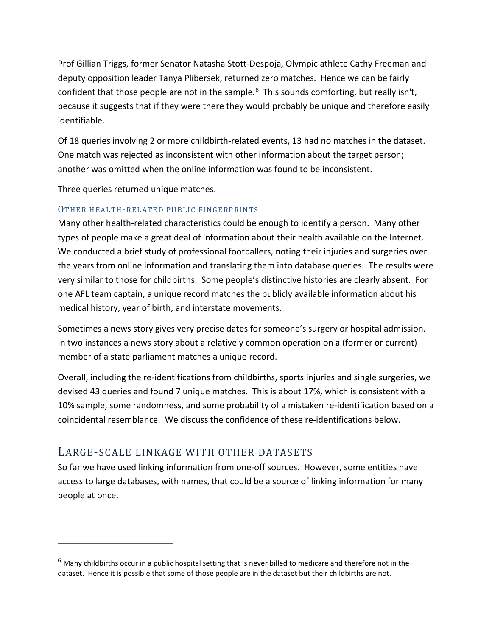Prof Gillian Triggs, former Senator Natasha Stott-Despoja, Olympic athlete Cathy Freeman and deputy opposition leader Tanya Plibersek, returned zero matches. Hence we can be fairly confident that those people are not in the sample.<sup>[6](#page-9-0)</sup> This sounds comforting, but really isn't, because it suggests that if they were there they would probably be unique and therefore easily identifiable.

Of 18 queries involving 2 or more childbirth-related events, 13 had no matches in the dataset. One match was rejected as inconsistent with other information about the target person; another was omitted when the online information was found to be inconsistent.

Three queries returned unique matches.

#### OTHER HEALTH-RELATED PUBLIC FINGERPRINTS

Many other health-related characteristics could be enough to identify a person. Many other types of people make a great deal of information about their health available on the Internet. We conducted a brief study of professional footballers, noting their injuries and surgeries over the years from online information and translating them into database queries. The results were very similar to those for childbirths. Some people's distinctive histories are clearly absent. For one AFL team captain, a unique record matches the publicly available information about his medical history, year of birth, and interstate movements.

Sometimes a news story gives very precise dates for someone's surgery or hospital admission. In two instances a news story about a relatively common operation on a (former or current) member of a state parliament matches a unique record.

Overall, including the re-identifications from childbirths, sports injuries and single surgeries, we devised 43 queries and found 7 unique matches. This is about 17%, which is consistent with a 10% sample, some randomness, and some probability of a mistaken re-identification based on a coincidental resemblance. We discuss the confidence of these re-identifications below.

### LARGE-SCALE LINKAGE WITH OTHER DATASETS

 $\overline{a}$ 

So far we have used linking information from one-off sources. However, some entities have access to large databases, with names, that could be a source of linking information for many people at once.

<span id="page-9-0"></span> $6$  Many childbirths occur in a public hospital setting that is never billed to medicare and therefore not in the dataset. Hence it is possible that some of those people are in the dataset but their childbirths are not.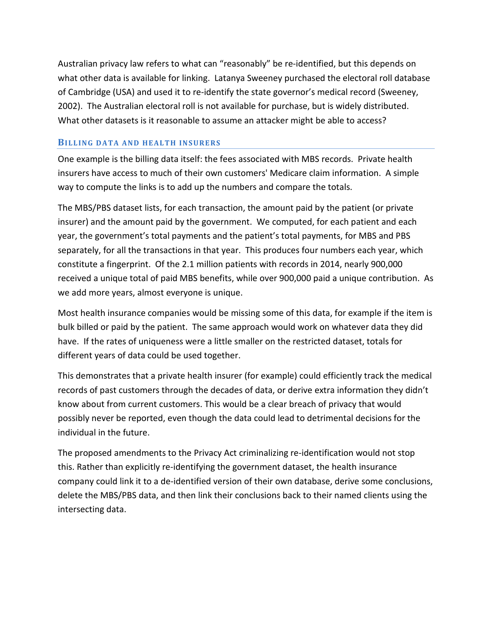Australian privacy law refers to what can "reasonably" be re-identified, but this depends on what other data is available for linking. Latanya Sweeney purchased the electoral roll database of Cambridge (USA) and used it to re-identify the state governor's medical record (Sweeney, 2002). The Australian electoral roll is not available for purchase, but is widely distributed. What other datasets is it reasonable to assume an attacker might be able to access?

#### **BILLING DATA AND HEALTH INSURERS**

One example is the billing data itself: the fees associated with MBS records. Private health insurers have access to much of their own customers' Medicare claim information. A simple way to compute the links is to add up the numbers and compare the totals.

The MBS/PBS dataset lists, for each transaction, the amount paid by the patient (or private insurer) and the amount paid by the government. We computed, for each patient and each year, the government's total payments and the patient's total payments, for MBS and PBS separately, for all the transactions in that year. This produces four numbers each year, which constitute a fingerprint. Of the 2.1 million patients with records in 2014, nearly 900,000 received a unique total of paid MBS benefits, while over 900,000 paid a unique contribution. As we add more years, almost everyone is unique.

Most health insurance companies would be missing some of this data, for example if the item is bulk billed or paid by the patient. The same approach would work on whatever data they did have. If the rates of uniqueness were a little smaller on the restricted dataset, totals for different years of data could be used together.

This demonstrates that a private health insurer (for example) could efficiently track the medical records of past customers through the decades of data, or derive extra information they didn't know about from current customers. This would be a clear breach of privacy that would possibly never be reported, even though the data could lead to detrimental decisions for the individual in the future.

The proposed amendments to the Privacy Act criminalizing re-identification would not stop this. Rather than explicitly re-identifying the government dataset, the health insurance company could link it to a de-identified version of their own database, derive some conclusions, delete the MBS/PBS data, and then link their conclusions back to their named clients using the intersecting data.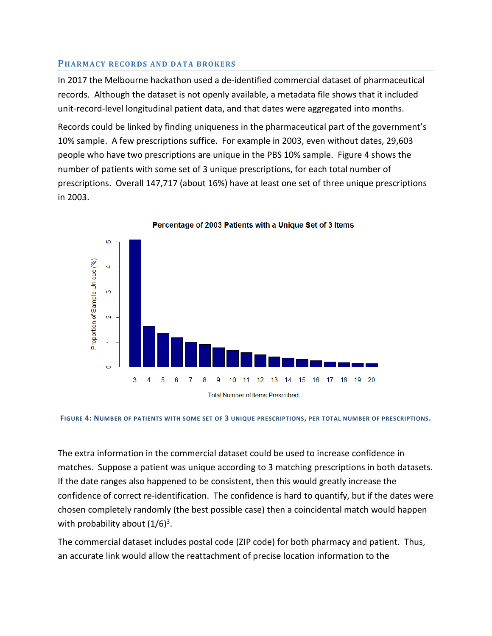#### **PHARMACY RECORDS AND DATA BROKERS**

In 2017 the Melbourne hackathon used a de-identified commercial dataset of pharmaceutical records. Although the dataset is not openly available, a metadata file shows that it included unit-record-level longitudinal patient data, and that dates were aggregated into months.

Records could be linked by finding uniqueness in the pharmaceutical part of the government's 10% sample. A few prescriptions suffice. For example in 2003, even without dates, 29,603 people who have two prescriptions are unique in the PBS 10% sample. Figure 4 shows the number of patients with some set of 3 unique prescriptions, for each total number of prescriptions. Overall 147,717 (about 16%) have at least one set of three unique prescriptions in 2003.



Percentage of 2003 Patients with a Unique Set of 3 Items

**FIGURE 4: NUMBER OF PATIENTS WITH SOME SET OF 3 UNIQUE PRESCRIPTIONS, PER TOTAL NUMBER OF PRESCRIPTIONS.**

The extra information in the commercial dataset could be used to increase confidence in matches. Suppose a patient was unique according to 3 matching prescriptions in both datasets. If the date ranges also happened to be consistent, then this would greatly increase the confidence of correct re-identification. The confidence is hard to quantify, but if the dates were chosen completely randomly (the best possible case) then a coincidental match would happen with probability about  $(1/6)^3$ .

The commercial dataset includes postal code (ZIP code) for both pharmacy and patient. Thus, an accurate link would allow the reattachment of precise location information to the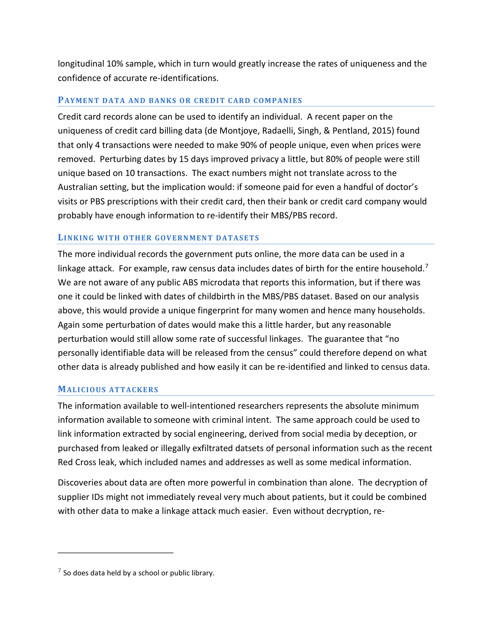longitudinal 10% sample, which in turn would greatly increase the rates of uniqueness and the confidence of accurate re-identifications.

#### **PAYMENT DATA AND BANKS OR CREDIT CARD COMPANIES**

Credit card records alone can be used to identify an individual. A recent paper on the uniqueness of credit card billing data (de Montjoye, Radaelli, Singh, & Pentland, 2015) found that only 4 transactions were needed to make 90% of people unique, even when prices were removed. Perturbing dates by 15 days improved privacy a little, but 80% of people were still unique based on 10 transactions. The exact numbers might not translate across to the Australian setting, but the implication would: if someone paid for even a handful of doctor's visits or PBS prescriptions with their credit card, then their bank or credit card company would probably have enough information to re-identify their MBS/PBS record.

#### **LINKING WITH OTHER GOVERNMENT DATASETS**

The more individual records the government puts online, the more data can be used in a linkage attack. For example, raw census data includes dates of birth for the entire household.<sup>[7](#page-12-0)</sup> We are not aware of any public ABS microdata that reports this information, but if there was one it could be linked with dates of childbirth in the MBS/PBS dataset. Based on our analysis above, this would provide a unique fingerprint for many women and hence many households. Again some perturbation of dates would make this a little harder, but any reasonable perturbation would still allow some rate of successful linkages. The guarantee that "no personally identifiable data will be released from the census" could therefore depend on what other data is already published and how easily it can be re-identified and linked to census data.

#### **MALICIOUS ATTACKERS**

The information available to well-intentioned researchers represents the absolute minimum information available to someone with criminal intent. The same approach could be used to link information extracted by social engineering, derived from social media by deception, or purchased from leaked or illegally exfiltrated datsets of personal information such as the recent Red Cross leak, which included names and addresses as well as some medical information.

Discoveries about data are often more powerful in combination than alone. The decryption of supplier IDs might not immediately reveal very much about patients, but it could be combined with other data to make a linkage attack much easier. Even without decryption, re-

 $\overline{a}$ 

<span id="page-12-0"></span> $7$  So does data held by a school or public library.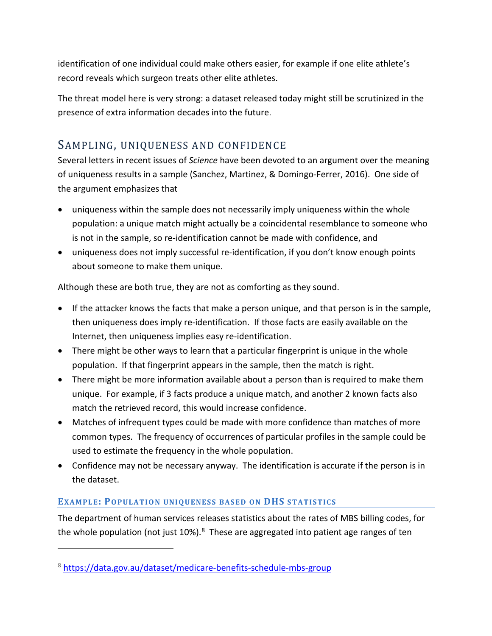identification of one individual could make others easier, for example if one elite athlete's record reveals which surgeon treats other elite athletes.

The threat model here is very strong: a dataset released today might still be scrutinized in the presence of extra information decades into the future.

# SAMPLING, UNIQUENESS AND CONFIDENCE

Several letters in recent issues of *Science* have been devoted to an argument over the meaning of uniqueness results in a sample (Sanchez, Martinez, & Domingo-Ferrer, 2016). One side of the argument emphasizes that

- uniqueness within the sample does not necessarily imply uniqueness within the whole population: a unique match might actually be a coincidental resemblance to someone who is not in the sample, so re-identification cannot be made with confidence, and
- uniqueness does not imply successful re-identification, if you don't know enough points about someone to make them unique.

Although these are both true, they are not as comforting as they sound.

- If the attacker knows the facts that make a person unique, and that person is in the sample, then uniqueness does imply re-identification. If those facts are easily available on the Internet, then uniqueness implies easy re-identification.
- There might be other ways to learn that a particular fingerprint is unique in the whole population. If that fingerprint appears in the sample, then the match is right.
- There might be more information available about a person than is required to make them unique. For example, if 3 facts produce a unique match, and another 2 known facts also match the retrieved record, this would increase confidence.
- Matches of infrequent types could be made with more confidence than matches of more common types. The frequency of occurrences of particular profiles in the sample could be used to estimate the frequency in the whole population.
- Confidence may not be necessary anyway. The identification is accurate if the person is in the dataset.

### **EXAMPLE: POPULATION UNIQUENESS BASED ON DHS STATISTICS**

The department of human services releases statistics about the rates of MBS billing codes, for the whole population (not just 10%).<sup>[8](#page-13-0)</sup> These are aggregated into patient age ranges of ten

 $\overline{a}$ 

<span id="page-13-0"></span><sup>8</sup> <https://data.gov.au/dataset/medicare-benefits-schedule-mbs-group>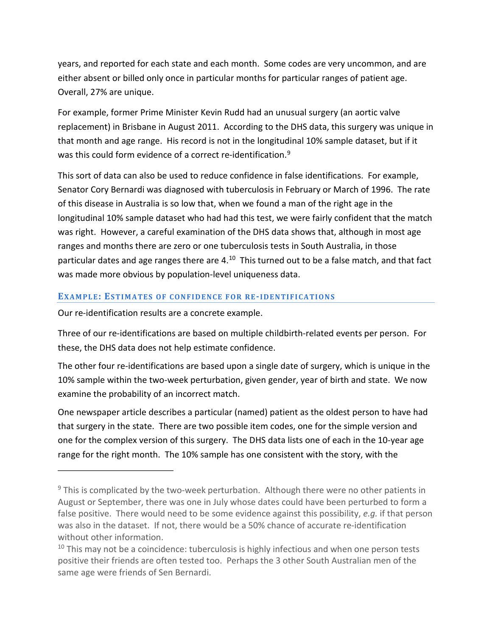years, and reported for each state and each month. Some codes are very uncommon, and are either absent or billed only once in particular months for particular ranges of patient age. Overall, 27% are unique.

For example, former Prime Minister Kevin Rudd had an unusual surgery (an aortic valve replacement) in Brisbane in August 2011. According to the DHS data, this surgery was unique in that month and age range. His record is not in the longitudinal 10% sample dataset, but if it was this could form evidence of a correct re-identification.<sup>[9](#page-14-0)</sup>

This sort of data can also be used to reduce confidence in false identifications. For example, Senator Cory Bernardi was diagnosed with tuberculosis in February or March of 1996. The rate of this disease in Australia is so low that, when we found a man of the right age in the longitudinal 10% sample dataset who had had this test, we were fairly confident that the match was right. However, a careful examination of the DHS data shows that, although in most age ranges and months there are zero or one tuberculosis tests in South Australia, in those particular dates and age ranges there are 4.<sup>[10](#page-14-1)</sup> This turned out to be a false match, and that fact was made more obvious by population-level uniqueness data.

#### **EXAMPLE: ESTIMATES OF CONFIDENCE FOR RE-IDENTIFICATIONS**

Our re-identification results are a concrete example.

 $\overline{a}$ 

Three of our re-identifications are based on multiple childbirth-related events per person. For these, the DHS data does not help estimate confidence.

The other four re-identifications are based upon a single date of surgery, which is unique in the 10% sample within the two-week perturbation, given gender, year of birth and state. We now examine the probability of an incorrect match.

One newspaper article describes a particular (named) patient as the oldest person to have had that surgery in the state. There are two possible item codes, one for the simple version and one for the complex version of this surgery. The DHS data lists one of each in the 10-year age range for the right month. The 10% sample has one consistent with the story, with the

<span id="page-14-0"></span> $9$  This is complicated by the two-week perturbation. Although there were no other patients in August or September, there was one in July whose dates could have been perturbed to form a false positive. There would need to be some evidence against this possibility, *e.g.* if that person was also in the dataset. If not, there would be a 50% chance of accurate re-identification without other information.

<span id="page-14-1"></span> $10$  This may not be a coincidence: tuberculosis is highly infectious and when one person tests positive their friends are often tested too. Perhaps the 3 other South Australian men of the same age were friends of Sen Bernardi.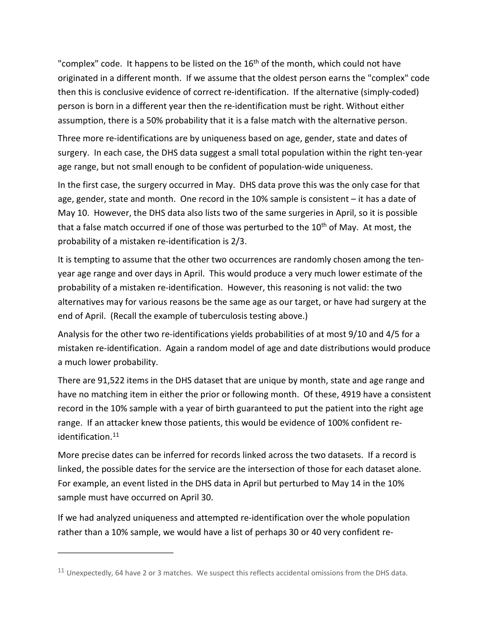"complex" code. It happens to be listed on the  $16<sup>th</sup>$  of the month, which could not have originated in a different month. If we assume that the oldest person earns the "complex" code then this is conclusive evidence of correct re-identification. If the alternative (simply-coded) person is born in a different year then the re-identification must be right. Without either assumption, there is a 50% probability that it is a false match with the alternative person.

Three more re-identifications are by uniqueness based on age, gender, state and dates of surgery. In each case, the DHS data suggest a small total population within the right ten-year age range, but not small enough to be confident of population-wide uniqueness.

In the first case, the surgery occurred in May. DHS data prove this was the only case for that age, gender, state and month. One record in the 10% sample is consistent – it has a date of May 10. However, the DHS data also lists two of the same surgeries in April, so it is possible that a false match occurred if one of those was perturbed to the  $10<sup>th</sup>$  of May. At most, the probability of a mistaken re-identification is 2/3.

It is tempting to assume that the other two occurrences are randomly chosen among the tenyear age range and over days in April. This would produce a very much lower estimate of the probability of a mistaken re-identification. However, this reasoning is not valid: the two alternatives may for various reasons be the same age as our target, or have had surgery at the end of April. (Recall the example of tuberculosis testing above.)

Analysis for the other two re-identifications yields probabilities of at most 9/10 and 4/5 for a mistaken re-identification. Again a random model of age and date distributions would produce a much lower probability.

There are 91,522 items in the DHS dataset that are unique by month, state and age range and have no matching item in either the prior or following month. Of these, 4919 have a consistent record in the 10% sample with a year of birth guaranteed to put the patient into the right age range. If an attacker knew those patients, this would be evidence of 100% confident re-identification.<sup>[11](#page-15-0)</sup>

More precise dates can be inferred for records linked across the two datasets. If a record is linked, the possible dates for the service are the intersection of those for each dataset alone. For example, an event listed in the DHS data in April but perturbed to May 14 in the 10% sample must have occurred on April 30.

If we had analyzed uniqueness and attempted re-identification over the whole population rather than a 10% sample, we would have a list of perhaps 30 or 40 very confident re-

 $\overline{a}$ 

<span id="page-15-0"></span><sup>&</sup>lt;sup>11</sup> Unexpectedly, 64 have 2 or 3 matches. We suspect this reflects accidental omissions from the DHS data.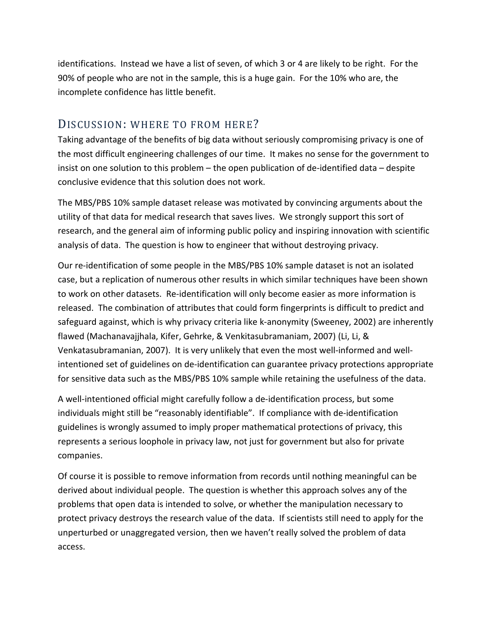identifications. Instead we have a list of seven, of which 3 or 4 are likely to be right. For the 90% of people who are not in the sample, this is a huge gain. For the 10% who are, the incomplete confidence has little benefit.

# DISCUSSION: WHERE TO FROM HERE?

Taking advantage of the benefits of big data without seriously compromising privacy is one of the most difficult engineering challenges of our time. It makes no sense for the government to insist on one solution to this problem – the open publication of de-identified data – despite conclusive evidence that this solution does not work.

The MBS/PBS 10% sample dataset release was motivated by convincing arguments about the utility of that data for medical research that saves lives. We strongly support this sort of research, and the general aim of informing public policy and inspiring innovation with scientific analysis of data. The question is how to engineer that without destroying privacy.

Our re-identification of some people in the MBS/PBS 10% sample dataset is not an isolated case, but a replication of numerous other results in which similar techniques have been shown to work on other datasets. Re-identification will only become easier as more information is released. The combination of attributes that could form fingerprints is difficult to predict and safeguard against, which is why privacy criteria like k-anonymity (Sweeney, 2002) are inherently flawed (Machanavajjhala, Kifer, Gehrke, & Venkitasubramaniam, 2007) (Li, Li, & Venkatasubramanian, 2007). It is very unlikely that even the most well-informed and wellintentioned set of guidelines on de-identification can guarantee privacy protections appropriate for sensitive data such as the MBS/PBS 10% sample while retaining the usefulness of the data.

A well-intentioned official might carefully follow a de-identification process, but some individuals might still be "reasonably identifiable". If compliance with de-identification guidelines is wrongly assumed to imply proper mathematical protections of privacy, this represents a serious loophole in privacy law, not just for government but also for private companies.

Of course it is possible to remove information from records until nothing meaningful can be derived about individual people. The question is whether this approach solves any of the problems that open data is intended to solve, or whether the manipulation necessary to protect privacy destroys the research value of the data. If scientists still need to apply for the unperturbed or unaggregated version, then we haven't really solved the problem of data access.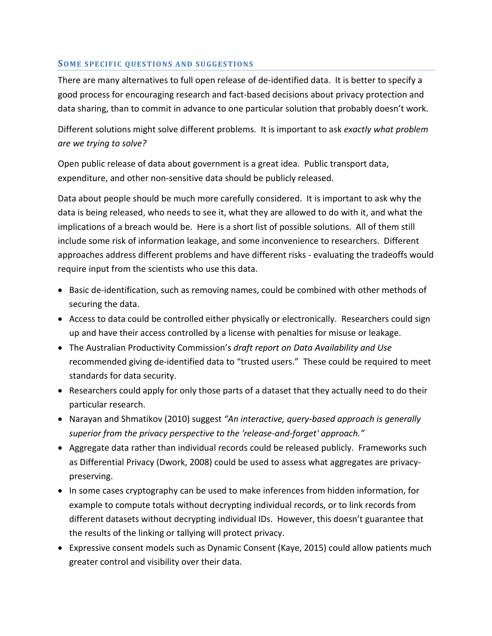#### **SOME SPECIFIC QUESTIONS AND SUGGESTIONS**

There are many alternatives to full open release of de-identified data. It is better to specify a good process for encouraging research and fact-based decisions about privacy protection and data sharing, than to commit in advance to one particular solution that probably doesn't work.

Different solutions might solve different problems. It is important to ask *exactly what problem are we trying to solve?*

Open public release of data about government is a great idea. Public transport data, expenditure, and other non-sensitive data should be publicly released.

Data about people should be much more carefully considered. It is important to ask why the data is being released, who needs to see it, what they are allowed to do with it, and what the implications of a breach would be. Here is a short list of possible solutions. All of them still include some risk of information leakage, and some inconvenience to researchers. Different approaches address different problems and have different risks - evaluating the tradeoffs would require input from the scientists who use this data.

- Basic de-identification, such as removing names, could be combined with other methods of securing the data.
- Access to data could be controlled either physically or electronically. Researchers could sign up and have their access controlled by a license with penalties for misuse or leakage.
- The Australian Productivity Commission's *draft report on Data Availability and Use* recommended giving de-identified data to "trusted users." These could be required to meet standards for data security.
- Researchers could apply for only those parts of a dataset that they actually need to do their particular research.
- Narayan and Shmatikov (2010) suggest *"An interactive, query-based approach is generally superior from the privacy perspective to the 'release-and-forget' approach."*
- Aggregate data rather than individual records could be released publicly. Frameworks such as Differential Privacy (Dwork, 2008) could be used to assess what aggregates are privacypreserving.
- In some cases cryptography can be used to make inferences from hidden information, for example to compute totals without decrypting individual records, or to link records from different datasets without decrypting individual IDs. However, this doesn't guarantee that the results of the linking or tallying will protect privacy.
- Expressive consent models such as Dynamic Consent (Kaye, 2015) could allow patients much greater control and visibility over their data.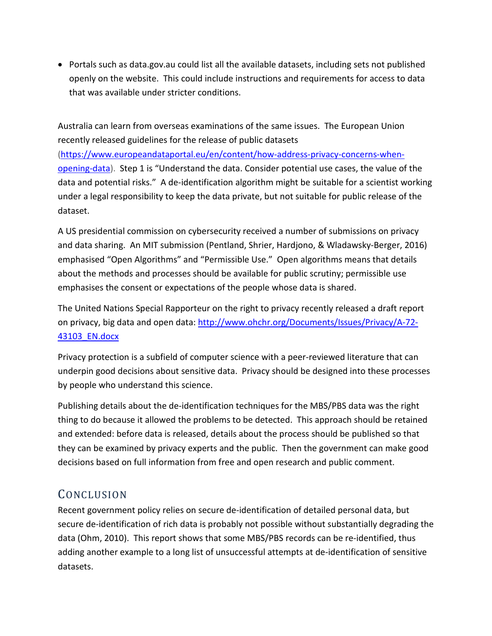• Portals such as data.gov.au could list all the available datasets, including sets not published openly on the website. This could include instructions and requirements for access to data that was available under stricter conditions.

Australia can learn from overseas examinations of the same issues. The European Union recently released guidelines for the release of public datasets [\(https://www.europeandataportal.eu/en/content/how-address-privacy-concerns-when](https://www.europeandataportal.eu/en/content/how-address-privacy-concerns-when-opening-data)[opening-data\)](https://www.europeandataportal.eu/en/content/how-address-privacy-concerns-when-opening-data). Step 1 is "Understand the data. Consider potential use cases, the value of the data and potential risks." A de-identification algorithm might be suitable for a scientist working under a legal responsibility to keep the data private, but not suitable for public release of the dataset.

A US presidential commission on cybersecurity received a number of submissions on privacy and data sharing. An MIT submission (Pentland, Shrier, Hardjono, & Wladawsky-Berger, 2016) emphasised "Open Algorithms" and "Permissible Use." Open algorithms means that details about the methods and processes should be available for public scrutiny; permissible use emphasises the consent or expectations of the people whose data is shared.

The United Nations Special Rapporteur on the right to privacy recently released a draft report on privacy, big data and open data: [http://www.ohchr.org/Documents/Issues/Privacy/A-72-](http://www.ohchr.org/Documents/Issues/Privacy/A-72-43103_EN.docx) [43103\\_EN.docx](http://www.ohchr.org/Documents/Issues/Privacy/A-72-43103_EN.docx)

Privacy protection is a subfield of computer science with a peer-reviewed literature that can underpin good decisions about sensitive data. Privacy should be designed into these processes by people who understand this science.

Publishing details about the de-identification techniques for the MBS/PBS data was the right thing to do because it allowed the problems to be detected. This approach should be retained and extended: before data is released, details about the process should be published so that they can be examined by privacy experts and the public. Then the government can make good decisions based on full information from free and open research and public comment.

# CONCLUSION

Recent government policy relies on secure de-identification of detailed personal data, but secure de-identification of rich data is probably not possible without substantially degrading the data (Ohm, 2010). This report shows that some MBS/PBS records can be re-identified, thus adding another example to a long list of unsuccessful attempts at de-identification of sensitive datasets.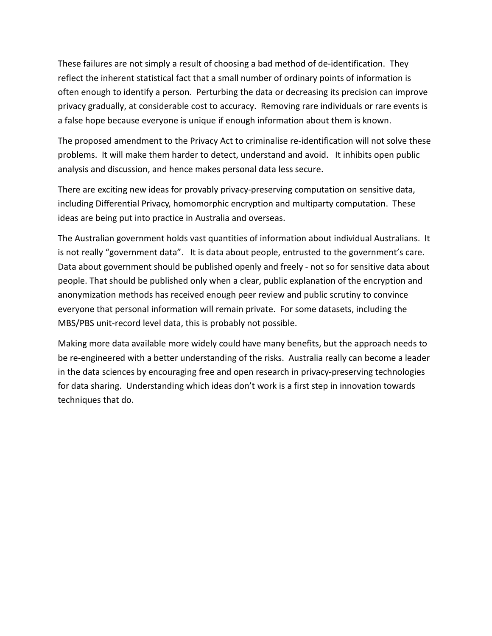These failures are not simply a result of choosing a bad method of de-identification. They reflect the inherent statistical fact that a small number of ordinary points of information is often enough to identify a person. Perturbing the data or decreasing its precision can improve privacy gradually, at considerable cost to accuracy. Removing rare individuals or rare events is a false hope because everyone is unique if enough information about them is known.

The proposed amendment to the Privacy Act to criminalise re-identification will not solve these problems. It will make them harder to detect, understand and avoid. It inhibits open public analysis and discussion, and hence makes personal data less secure.

There are exciting new ideas for provably privacy-preserving computation on sensitive data, including Differential Privacy, homomorphic encryption and multiparty computation. These ideas are being put into practice in Australia and overseas.

The Australian government holds vast quantities of information about individual Australians. It is not really "government data". It is data about people, entrusted to the government's care. Data about government should be published openly and freely - not so for sensitive data about people. That should be published only when a clear, public explanation of the encryption and anonymization methods has received enough peer review and public scrutiny to convince everyone that personal information will remain private. For some datasets, including the MBS/PBS unit-record level data, this is probably not possible.

Making more data available more widely could have many benefits, but the approach needs to be re-engineered with a better understanding of the risks. Australia really can become a leader in the data sciences by encouraging free and open research in privacy-preserving technologies for data sharing. Understanding which ideas don't work is a first step in innovation towards techniques that do.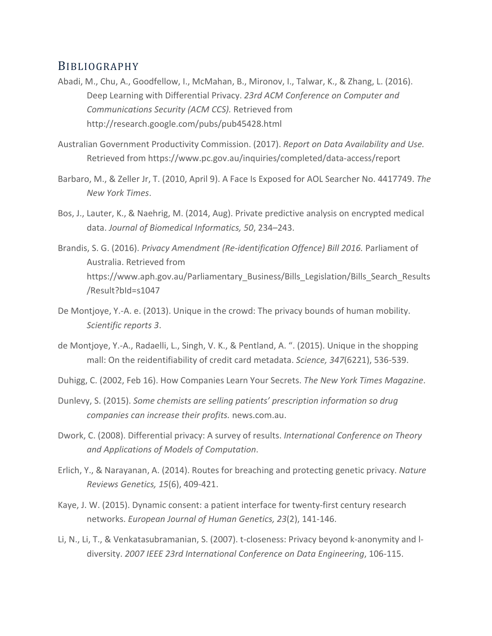## BIBLIOGRAPHY

- Abadi, M., Chu, A., Goodfellow, I., McMahan, B., Mironov, I., Talwar, K., & Zhang, L. (2016). Deep Learning with Differential Privacy. *23rd ACM Conference on Computer and Communications Security (ACM CCS).* Retrieved from http://research.google.com/pubs/pub45428.html
- Australian Government Productivity Commission. (2017). *Report on Data Availability and Use.* Retrieved from https://www.pc.gov.au/inquiries/completed/data-access/report
- Barbaro, M., & Zeller Jr, T. (2010, April 9). A Face Is Exposed for AOL Searcher No. 4417749. *The New York Times*.
- Bos, J., Lauter, K., & Naehrig, M. (2014, Aug). Private predictive analysis on encrypted medical data. *Journal of Biomedical Informatics, 50*, 234–243.
- Brandis, S. G. (2016). *Privacy Amendment (Re-identification Offence) Bill 2016.* Parliament of Australia. Retrieved from https://www.aph.gov.au/Parliamentary\_Business/Bills\_Legislation/Bills\_Search\_Results /Result?bId=s1047
- De Montjoye, Y.-A. e. (2013). Unique in the crowd: The privacy bounds of human mobility. *Scientific reports 3*.
- de Montjoye, Y.-A., Radaelli, L., Singh, V. K., & Pentland, A. ". (2015). Unique in the shopping mall: On the reidentifiability of credit card metadata. *Science, 347*(6221), 536-539.
- Duhigg, C. (2002, Feb 16). How Companies Learn Your Secrets. *The New York Times Magazine*.
- Dunlevy, S. (2015). *Some chemists are selling patients' prescription information so drug companies can increase their profits.* news.com.au.
- Dwork, C. (2008). Differential privacy: A survey of results. *International Conference on Theory and Applications of Models of Computation*.
- Erlich, Y., & Narayanan, A. (2014). Routes for breaching and protecting genetic privacy. *Nature Reviews Genetics, 15*(6), 409-421.
- Kaye, J. W. (2015). Dynamic consent: a patient interface for twenty-first century research networks. *European Journal of Human Genetics, 23*(2), 141-146.
- Li, N., Li, T., & Venkatasubramanian, S. (2007). t-closeness: Privacy beyond k-anonymity and ldiversity. *2007 IEEE 23rd International Conference on Data Engineering*, 106-115.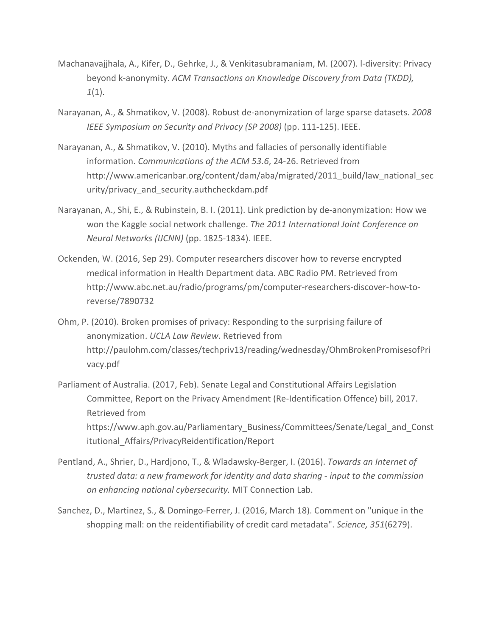- Machanavajjhala, A., Kifer, D., Gehrke, J., & Venkitasubramaniam, M. (2007). l-diversity: Privacy beyond k-anonymity. *ACM Transactions on Knowledge Discovery from Data (TKDD), 1*(1).
- Narayanan, A., & Shmatikov, V. (2008). Robust de-anonymization of large sparse datasets. *2008 IEEE Symposium on Security and Privacy (SP 2008)* (pp. 111-125). IEEE.
- Narayanan, A., & Shmatikov, V. (2010). Myths and fallacies of personally identifiable information. *Communications of the ACM 53.6*, 24-26. Retrieved from http://www.americanbar.org/content/dam/aba/migrated/2011\_build/law\_national\_sec urity/privacy and security.authcheckdam.pdf
- Narayanan, A., Shi, E., & Rubinstein, B. I. (2011). Link prediction by de-anonymization: How we won the Kaggle social network challenge. *The 2011 International Joint Conference on Neural Networks (IJCNN)* (pp. 1825-1834). IEEE.
- Ockenden, W. (2016, Sep 29). Computer researchers discover how to reverse encrypted medical information in Health Department data. ABC Radio PM. Retrieved from http://www.abc.net.au/radio/programs/pm/computer-researchers-discover-how-toreverse/7890732
- Ohm, P. (2010). Broken promises of privacy: Responding to the surprising failure of anonymization. *UCLA Law Review*. Retrieved from http://paulohm.com/classes/techpriv13/reading/wednesday/OhmBrokenPromisesofPri vacy.pdf
- Parliament of Australia. (2017, Feb). Senate Legal and Constitutional Affairs Legislation Committee, Report on the Privacy Amendment (Re-Identification Offence) bill, 2017. Retrieved from https://www.aph.gov.au/Parliamentary\_Business/Committees/Senate/Legal\_and\_Const itutional\_Affairs/PrivacyReidentification/Report
- Pentland, A., Shrier, D., Hardjono, T., & Wladawsky-Berger, I. (2016). *Towards an Internet of trusted data: a new framework for identity and data sharing - input to the commission on enhancing national cybersecurity.* MIT Connection Lab.
- Sanchez, D., Martinez, S., & Domingo-Ferrer, J. (2016, March 18). Comment on "unique in the shopping mall: on the reidentifiability of credit card metadata". *Science, 351*(6279).